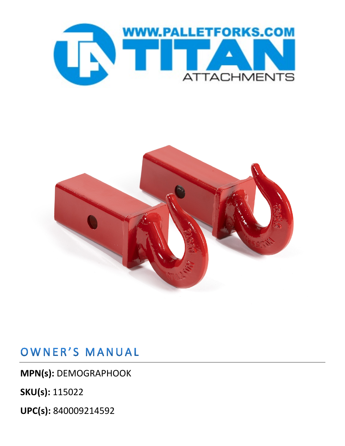



## OWNER'S MANUAL

**MPN(s):** DEMOGRAPHOOK

**SKU(s):** 115022

**UPC(s):** 840009214592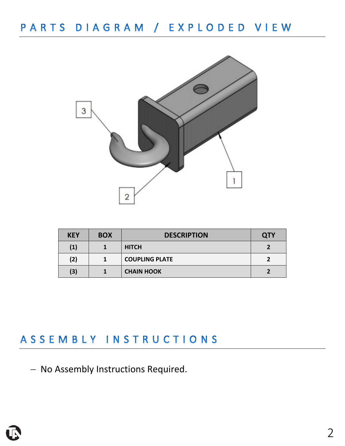

| <b>KEY</b>        | <b>BOX</b> | <b>DESCRIPTION</b>    | <b>QTY</b> |
|-------------------|------------|-----------------------|------------|
| $\left( 1\right)$ |            | <b>HITCH</b>          |            |
| (2)               |            | <b>COUPLING PLATE</b> |            |
| (3)               |            | <b>CHAIN HOOK</b>     |            |

### ASSEMBLY INSTRUCTIONS

− No Assembly Instructions Required.